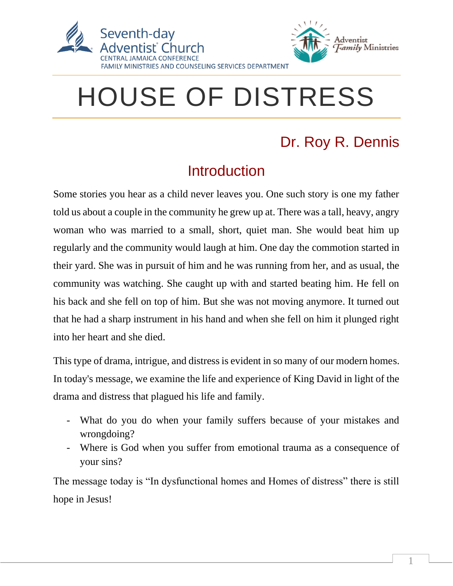



# HOUSE OF DISTRESS

## Dr. Roy R. Dennis

## **Introduction**

Some stories you hear as a child never leaves you. One such story is one my father told us about a couple in the community he grew up at. There was a tall, heavy, angry woman who was married to a small, short, quiet man. She would beat him up regularly and the community would laugh at him. One day the commotion started in their yard. She was in pursuit of him and he was running from her, and as usual, the community was watching. She caught up with and started beating him. He fell on his back and she fell on top of him. But she was not moving anymore. It turned out that he had a sharp instrument in his hand and when she fell on him it plunged right into her heart and she died.

This type of drama, intrigue, and distress is evident in so many of our modern homes. In today's message, we examine the life and experience of King David in light of the drama and distress that plagued his life and family.

- What do you do when your family suffers because of your mistakes and wrongdoing?
- Where is God when you suffer from emotional trauma as a consequence of your sins?

The message today is "In dysfunctional homes and Homes of distress" there is still hope in Jesus!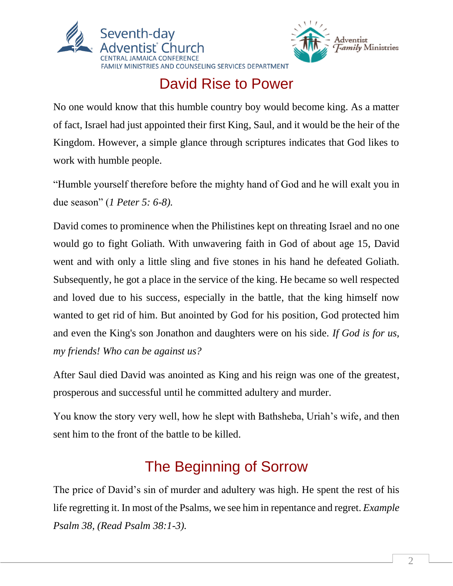



## David Rise to Power

No one would know that this humble country boy would become king. As a matter of fact, Israel had just appointed their first King, Saul, and it would be the heir of the Kingdom. However, a simple glance through scriptures indicates that God likes to work with humble people.

"Humble yourself therefore before the mighty hand of God and he will exalt you in due season" (*1 Peter 5: 6-8).*

David comes to prominence when the Philistines kept on threating Israel and no one would go to fight Goliath. With unwavering faith in God of about age 15, David went and with only a little sling and five stones in his hand he defeated Goliath. Subsequently, he got a place in the service of the king. He became so well respected and loved due to his success, especially in the battle, that the king himself now wanted to get rid of him. But anointed by God for his position, God protected him and even the King's son Jonathon and daughters were on his side. *If God is for us, my friends! Who can be against us?*

After Saul died David was anointed as King and his reign was one of the greatest, prosperous and successful until he committed adultery and murder.

You know the story very well, how he slept with Bathsheba, Uriah's wife, and then sent him to the front of the battle to be killed.

## The Beginning of Sorrow

The price of David's sin of murder and adultery was high. He spent the rest of his life regretting it. In most of the Psalms, we see him in repentance and regret. *Example Psalm 38, (Read Psalm 38:1-3).*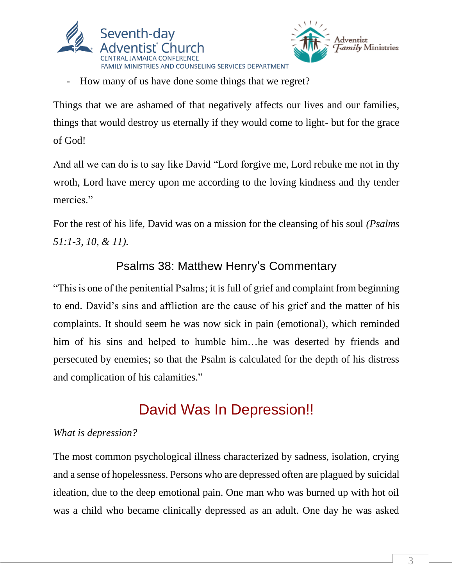



How many of us have done some things that we regret?

Things that we are ashamed of that negatively affects our lives and our families, things that would destroy us eternally if they would come to light- but for the grace of God!

And all we can do is to say like David "Lord forgive me, Lord rebuke me not in thy wroth, Lord have mercy upon me according to the loving kindness and thy tender mercies."

For the rest of his life, David was on a mission for the cleansing of his soul *(Psalms 51:1-3, 10, & 11).*

#### Psalms 38: Matthew Henry's Commentary

"This is one of the penitential Psalms; it is full of grief and complaint from beginning to end. David's sins and affliction are the cause of his grief and the matter of his complaints. It should seem he was now sick in pain (emotional), which reminded him of his sins and helped to humble him... he was deserted by friends and persecuted by enemies; so that the Psalm is calculated for the depth of his distress and complication of his calamities."

## David Was In Depression!!

#### *What is depression?*

The most common psychological illness characterized by sadness, isolation, crying and a sense of hopelessness. Persons who are depressed often are plagued by suicidal ideation, due to the deep emotional pain. One man who was burned up with hot oil was a child who became clinically depressed as an adult. One day he was asked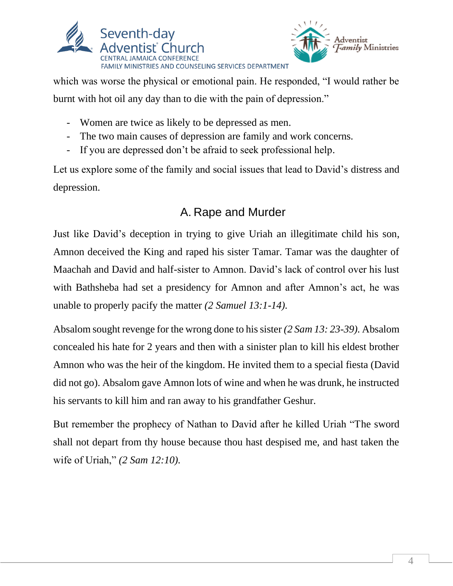

which was worse the physical or emotional pain. He responded, "I would rather be burnt with hot oil any day than to die with the pain of depression."

Adventist

*Family* Ministries

- Women are twice as likely to be depressed as men.
- The two main causes of depression are family and work concerns.
- If you are depressed don't be afraid to seek professional help.

Let us explore some of the family and social issues that lead to David's distress and depression.

#### A. Rape and Murder

Just like David's deception in trying to give Uriah an illegitimate child his son, Amnon deceived the King and raped his sister Tamar. Tamar was the daughter of Maachah and David and half-sister to Amnon. David's lack of control over his lust with Bathsheba had set a presidency for Amnon and after Amnon's act, he was unable to properly pacify the matter *(2 Samuel 13:1-14).*

Absalom sought revenge for the wrong done to his sister *(2 Sam 13: 23-39).* Absalom concealed his hate for 2 years and then with a sinister plan to kill his eldest brother Amnon who was the heir of the kingdom. He invited them to a special fiesta (David did not go). Absalom gave Amnon lots of wine and when he was drunk, he instructed his servants to kill him and ran away to his grandfather Geshur.

But remember the prophecy of Nathan to David after he killed Uriah "The sword shall not depart from thy house because thou hast despised me, and hast taken the wife of Uriah," *(2 Sam 12:10).*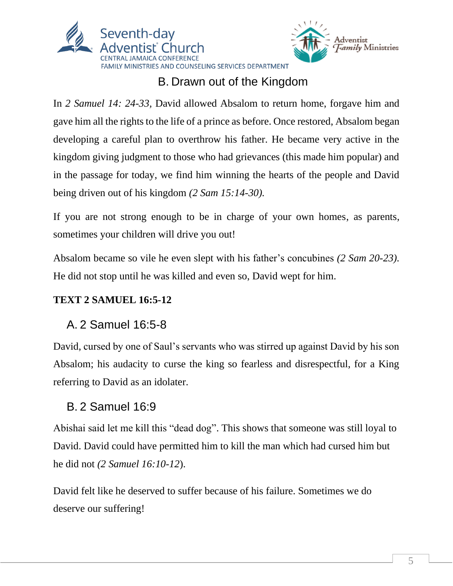



### B. Drawn out of the Kingdom

In *2 Samuel 14: 24-33,* David allowed Absalom to return home, forgave him and gave him all the rights to the life of a prince as before. Once restored, Absalom began developing a careful plan to overthrow his father. He became very active in the kingdom giving judgment to those who had grievances (this made him popular) and in the passage for today, we find him winning the hearts of the people and David being driven out of his kingdom *(2 Sam 15:14-30).*

If you are not strong enough to be in charge of your own homes, as parents, sometimes your children will drive you out!

Absalom became so vile he even slept with his father's concubines *(2 Sam 20-23).* He did not stop until he was killed and even so, David wept for him.

#### **TEXT 2 SAMUEL 16:5-12**

#### A. 2 Samuel 16:5-8

David, cursed by one of Saul's servants who was stirred up against David by his son Absalom; his audacity to curse the king so fearless and disrespectful, for a King referring to David as an idolater.

#### B. 2 Samuel 16:9

Abishai said let me kill this "dead dog". This shows that someone was still loyal to David. David could have permitted him to kill the man which had cursed him but he did not *(2 Samuel 16:10-12*).

David felt like he deserved to suffer because of his failure. Sometimes we do deserve our suffering!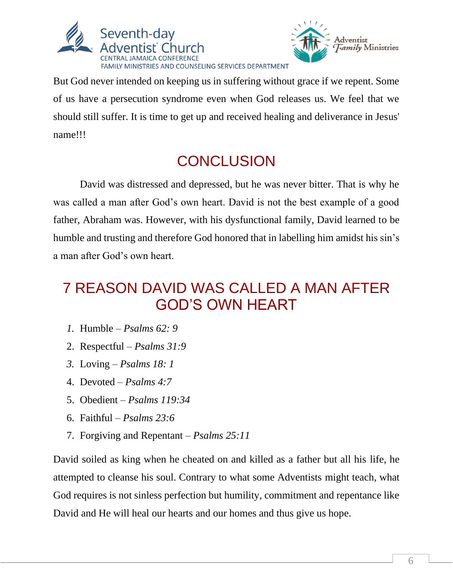



But God never intended on keeping us in suffering without grace if we repent. Some of us have a persecution syndrome even when God releases us. We feel that we should still suffer. It is time to get up and received healing and deliverance in Jesus' name!!!

## **CONCLUSION**

David was distressed and depressed, but he was never bitter. That is why he was called a man after God's own heart. David is not the best example of a good father, Abraham was. However, with his dysfunctional family, David learned to be humble and trusting and therefore God honored that in labelling him amidst his sin's a man after God's own heart.

## 7 REASON DAVID WAS CALLED A MAN AFTER GOD'S OWN HEART

- *1.* Humble *Psalms 62: 9*
- 2. Respectful *Psalms 31:9*
- *3.* Loving *Psalms 18: 1*
- 4. Devoted *Psalms 4:7*
- 5. Obedient *Psalms 119:34*
- 6. Faithful *Psalms 23:6*
- 7. Forgiving and Repentant *Psalms 25:11*

David soiled as king when he cheated on and killed as a father but all his life, he attempted to cleanse his soul. Contrary to what some Adventists might teach, what God requires is not sinless perfection but humility, commitment and repentance like David and He will heal our hearts and our homes and thus give us hope.